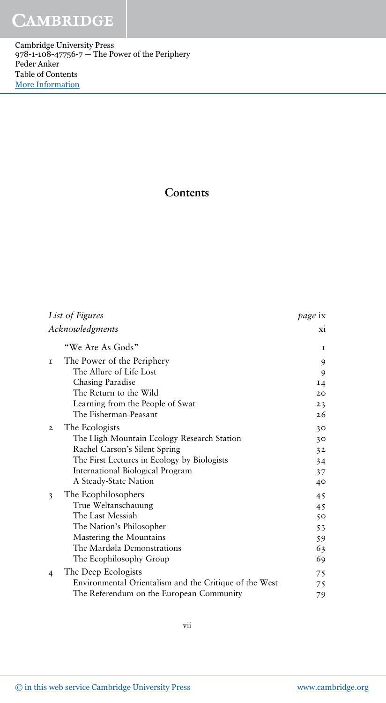Cambridge University Press 978-1-108-47756-7 — The Power of the Periphery Peder Anker Table of Contents [More Information](www.cambridge.org/9781108477567)

## **Contents**

| List of Figures |                                                        | page ix                 |
|-----------------|--------------------------------------------------------|-------------------------|
| Acknowledgments |                                                        | $\overline{\mathbf{x}}$ |
|                 | "We Are As Gods"                                       | 1                       |
| $\mathbf I$     | The Power of the Periphery                             | 9                       |
|                 | The Allure of Life Lost                                | 9                       |
|                 | Chasing Paradise                                       | $I_4$                   |
|                 | The Return to the Wild                                 | 20                      |
|                 | Learning from the People of Swat                       | 23                      |
|                 | The Fisherman-Peasant                                  | 26                      |
| $\mathbf{2}$    | The Ecologists                                         | 30                      |
|                 | The High Mountain Ecology Research Station             | 30                      |
|                 | Rachel Carson's Silent Spring                          | 32                      |
|                 | The First Lectures in Ecology by Biologists            | 34                      |
|                 | International Biological Program                       | 37                      |
|                 | A Steady-State Nation                                  | 40                      |
| 3               | The Ecophilosophers                                    | 45                      |
|                 | True Weltanschauung                                    | 45                      |
|                 | The Last Messiah                                       | 50                      |
|                 | The Nation's Philosopher                               | 53                      |
|                 | Mastering the Mountains                                | 59                      |
|                 | The Mardøla Demonstrations                             | 63                      |
|                 | The Ecophilosophy Group                                | 69                      |
| 4               | The Deep Ecologists                                    | 75                      |
|                 | Environmental Orientalism and the Critique of the West | 75                      |
|                 | The Referendum on the European Community               | 79                      |